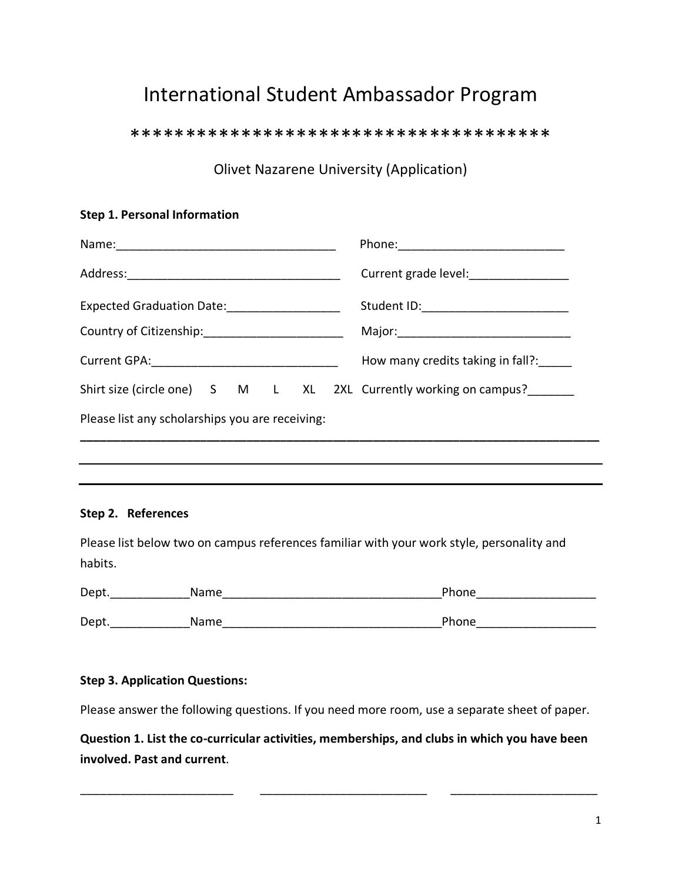## International Student Ambassador Program

\*\*\*\*\*\*\*\*\*\*\*\*\*\*\*\*\*\*\*\*\*\*\*\*\*\*\*\*\*\*\*\*\*\*\*\*\*\*

Olivet Nazarene University (Application)

## **Step 1. Personal Information**

|                                                                   | Current grade level:_______________      |
|-------------------------------------------------------------------|------------------------------------------|
|                                                                   | Student ID:_____________________________ |
| Country of Citizenship: __________________________                |                                          |
|                                                                   | How many credits taking in fall?:        |
| Shirt size (circle one) S M L XL 2XL Currently working on campus? |                                          |
| Please list any scholarships you are receiving:                   |                                          |
|                                                                   |                                          |

## **Step 2. References**

Please list below two on campus references familiar with your work style, personality and habits.

| Dept. | Name        | Phone |
|-------|-------------|-------|
|       |             |       |
| Dept. | <b>Name</b> | Phone |

## **Step 3. Application Questions:**

Please answer the following questions. If you need more room, use a separate sheet of paper.

**Question 1. List the co-curricular activities, memberships, and clubs in which you have been involved. Past and current**.

\_\_\_\_\_\_\_\_\_\_\_\_\_\_\_\_\_\_\_\_\_\_\_ \_\_\_\_\_\_\_\_\_\_\_\_\_\_\_\_\_\_\_\_\_\_\_\_\_ \_\_\_\_\_\_\_\_\_\_\_\_\_\_\_\_\_\_\_\_\_\_